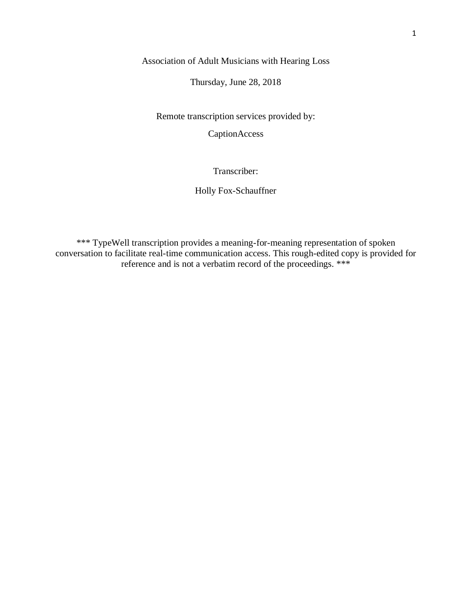Association of Adult Musicians with Hearing Loss

Thursday, June 28, 2018

Remote transcription services provided by:

CaptionAccess

Transcriber:

Holly Fox-Schauffner

\*\*\* TypeWell transcription provides a meaning-for-meaning representation of spoken conversation to facilitate real-time communication access. This rough-edited copy is provided for reference and is not a verbatim record of the proceedings. \*\*\*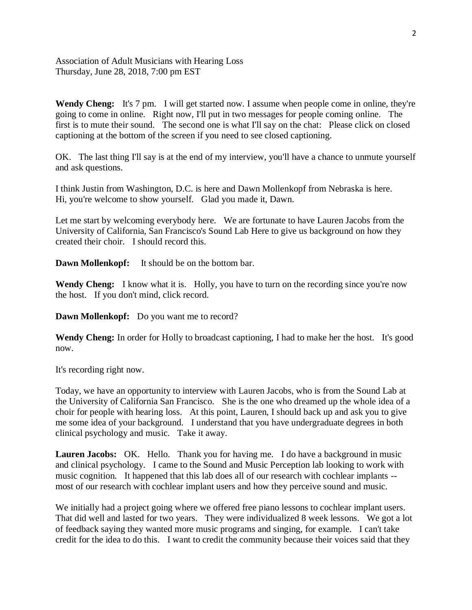Association of Adult Musicians with Hearing Loss Thursday, June 28, 2018, 7:00 pm EST

**Wendy Cheng:** It's 7 pm. I will get started now. I assume when people come in online, they're going to come in online. Right now, I'll put in two messages for people coming online. The first is to mute their sound. The second one is what I'll say on the chat: Please click on closed captioning at the bottom of the screen if you need to see closed captioning.

OK. The last thing I'll say is at the end of my interview, you'll have a chance to unmute yourself and ask questions.

I think Justin from Washington, D.C. is here and Dawn Mollenkopf from Nebraska is here. Hi, you're welcome to show yourself. Glad you made it, Dawn.

Let me start by welcoming everybody here. We are fortunate to have Lauren Jacobs from the University of California, San Francisco's Sound Lab Here to give us background on how they created their choir. I should record this.

**Dawn Mollenkopf:** It should be on the bottom bar.

**Wendy Cheng:** I know what it is. Holly, you have to turn on the recording since you're now the host. If you don't mind, click record.

**Dawn Mollenkopf:** Do you want me to record?

**Wendy Cheng:** In order for Holly to broadcast captioning, I had to make her the host. It's good now.

It's recording right now.

Today, we have an opportunity to interview with Lauren Jacobs, who is from the Sound Lab at the University of California San Francisco. She is the one who dreamed up the whole idea of a choir for people with hearing loss. At this point, Lauren, I should back up and ask you to give me some idea of your background. I understand that you have undergraduate degrees in both clinical psychology and music. Take it away.

**Lauren Jacobs:** OK. Hello. Thank you for having me. I do have a background in music and clinical psychology. I came to the Sound and Music Perception lab looking to work with music cognition. It happened that this lab does all of our research with cochlear implants - most of our research with cochlear implant users and how they perceive sound and music.

We initially had a project going where we offered free piano lessons to cochlear implant users. That did well and lasted for two years. They were individualized 8 week lessons. We got a lot of feedback saying they wanted more music programs and singing, for example. I can't take credit for the idea to do this. I want to credit the community because their voices said that they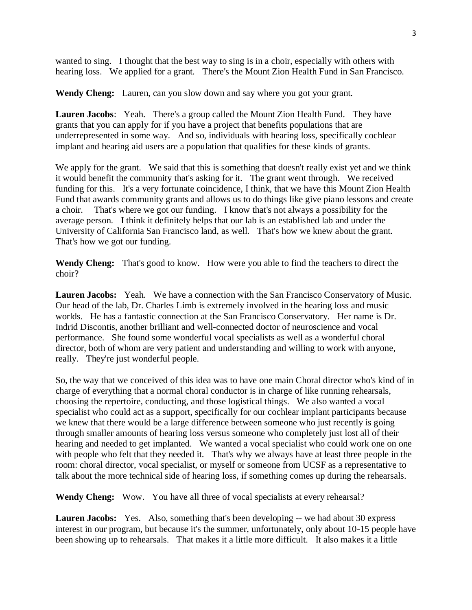wanted to sing. I thought that the best way to sing is in a choir, especially with others with hearing loss. We applied for a grant. There's the Mount Zion Health Fund in San Francisco.

**Wendy Cheng:** Lauren, can you slow down and say where you got your grant.

**Lauren Jacobs**: Yeah. There's a group called the Mount Zion Health Fund. They have grants that you can apply for if you have a project that benefits populations that are underrepresented in some way. And so, individuals with hearing loss, specifically cochlear implant and hearing aid users are a population that qualifies for these kinds of grants.

We apply for the grant. We said that this is something that doesn't really exist yet and we think it would benefit the community that's asking for it. The grant went through. We received funding for this. It's a very fortunate coincidence, I think, that we have this Mount Zion Health Fund that awards community grants and allows us to do things like give piano lessons and create a choir. That's where we got our funding. I know that's not always a possibility for the average person. I think it definitely helps that our lab is an established lab and under the University of California San Francisco land, as well. That's how we knew about the grant. That's how we got our funding.

**Wendy Cheng:** That's good to know. How were you able to find the teachers to direct the choir?

**Lauren Jacobs:** Yeah. We have a connection with the San Francisco Conservatory of Music. Our head of the lab, Dr. Charles Limb is extremely involved in the hearing loss and music worlds. He has a fantastic connection at the San Francisco Conservatory. Her name is Dr. Indrid Discontis, another brilliant and well-connected doctor of neuroscience and vocal performance. She found some wonderful vocal specialists as well as a wonderful choral director, both of whom are very patient and understanding and willing to work with anyone, really. They're just wonderful people.

So, the way that we conceived of this idea was to have one main Choral director who's kind of in charge of everything that a normal choral conductor is in charge of like running rehearsals, choosing the repertoire, conducting, and those logistical things. We also wanted a vocal specialist who could act as a support, specifically for our cochlear implant participants because we knew that there would be a large difference between someone who just recently is going through smaller amounts of hearing loss versus someone who completely just lost all of their hearing and needed to get implanted. We wanted a vocal specialist who could work one on one with people who felt that they needed it. That's why we always have at least three people in the room: choral director, vocal specialist, or myself or someone from UCSF as a representative to talk about the more technical side of hearing loss, if something comes up during the rehearsals.

**Wendy Cheng:** Wow. You have all three of vocal specialists at every rehearsal?

**Lauren Jacobs:** Yes. Also, something that's been developing -- we had about 30 express interest in our program, but because it's the summer, unfortunately, only about 10-15 people have been showing up to rehearsals. That makes it a little more difficult. It also makes it a little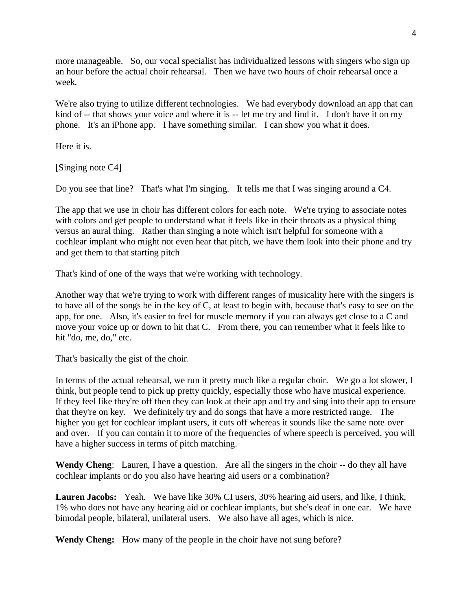more manageable. So, our vocal specialist has individualized lessons with singers who sign up an hour before the actual choir rehearsal. Then we have two hours of choir rehearsal once a week.

We're also trying to utilize different technologies. We had everybody download an app that can kind of -- that shows your voice and where it is -- let me try and find it. I don't have it on my phone. It's an iPhone app. I have something similar. I can show you what it does.

Here it is.

[Singing note C4]

Do you see that line? That's what I'm singing. It tells me that I was singing around a C4.

The app that we use in choir has different colors for each note. We're trying to associate notes with colors and get people to understand what it feels like in their throats as a physical thing versus an aural thing. Rather than singing a note which isn't helpful for someone with a cochlear implant who might not even hear that pitch, we have them look into their phone and try and get them to that starting pitch

That's kind of one of the ways that we're working with technology.

Another way that we're trying to work with different ranges of musicality here with the singers is to have all of the songs be in the key of C, at least to begin with, because that's easy to see on the app, for one. Also, it's easier to feel for muscle memory if you can always get close to a C and move your voice up or down to hit that C. From there, you can remember what it feels like to hit "do, me, do," etc.

That's basically the gist of the choir.

In terms of the actual rehearsal, we run it pretty much like a regular choir. We go a lot slower, I think, but people tend to pick up pretty quickly, especially those who have musical experience. If they feel like they're off then they can look at their app and try and sing into their app to ensure that they're on key. We definitely try and do songs that have a more restricted range. The higher you get for cochlear implant users, it cuts off whereas it sounds like the same note over and over. If you can contain it to more of the frequencies of where speech is perceived, you will have a higher success in terms of pitch matching.

**Wendy Cheng**: Lauren, I have a question. Are all the singers in the choir -- do they all have cochlear implants or do you also have hearing aid users or a combination?

**Lauren Jacobs:** Yeah. We have like 30% CI users, 30% hearing aid users, and like, I think, 1% who does not have any hearing aid or cochlear implants, but she's deaf in one ear. We have bimodal people, bilateral, unilateral users. We also have all ages, which is nice.

**Wendy Cheng:** How many of the people in the choir have not sung before?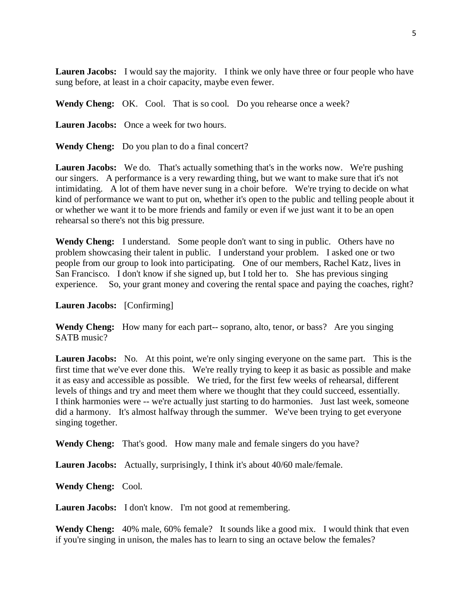**Lauren Jacobs:** I would say the majority. I think we only have three or four people who have sung before, at least in a choir capacity, maybe even fewer.

**Wendy Cheng:** OK. Cool. That is so cool. Do you rehearse once a week?

**Lauren Jacobs:** Once a week for two hours.

**Wendy Cheng:** Do you plan to do a final concert?

Lauren Jacobs: We do. That's actually something that's in the works now. We're pushing our singers. A performance is a very rewarding thing, but we want to make sure that it's not intimidating. A lot of them have never sung in a choir before. We're trying to decide on what kind of performance we want to put on, whether it's open to the public and telling people about it or whether we want it to be more friends and family or even if we just want it to be an open rehearsal so there's not this big pressure.

**Wendy Cheng:** I understand. Some people don't want to sing in public. Others have no problem showcasing their talent in public. I understand your problem. I asked one or two people from our group to look into participating. One of our members, Rachel Katz, lives in San Francisco. I don't know if she signed up, but I told her to. She has previous singing experience. So, your grant money and covering the rental space and paying the coaches, right?

**Lauren Jacobs:** [Confirming]

**Wendy Cheng:** How many for each part-- soprano, alto, tenor, or bass? Are you singing SATB music?

**Lauren Jacobs:** No. At this point, we're only singing everyone on the same part. This is the first time that we've ever done this. We're really trying to keep it as basic as possible and make it as easy and accessible as possible. We tried, for the first few weeks of rehearsal, different levels of things and try and meet them where we thought that they could succeed, essentially. I think harmonies were -- we're actually just starting to do harmonies. Just last week, someone did a harmony. It's almost halfway through the summer. We've been trying to get everyone singing together.

**Wendy Cheng:** That's good. How many male and female singers do you have?

**Lauren Jacobs:** Actually, surprisingly, I think it's about 40/60 male/female.

**Wendy Cheng:** Cool.

**Lauren Jacobs:** I don't know. I'm not good at remembering.

**Wendy Cheng:** 40% male, 60% female? It sounds like a good mix. I would think that even if you're singing in unison, the males has to learn to sing an octave below the females?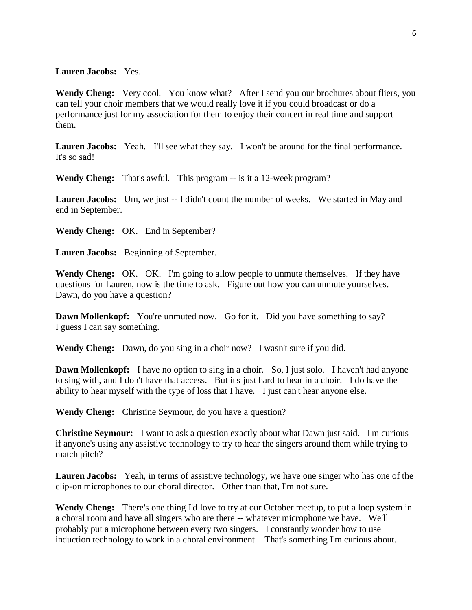## **Lauren Jacobs:** Yes.

Wendy Cheng: Very cool. You know what? After I send you our brochures about fliers, you can tell your choir members that we would really love it if you could broadcast or do a performance just for my association for them to enjoy their concert in real time and support them.

Lauren Jacobs: Yeah. I'll see what they say. I won't be around for the final performance. It's so sad!

**Wendy Cheng:** That's awful. This program -- is it a 12-week program?

**Lauren Jacobs:** Um, we just -- I didn't count the number of weeks. We started in May and end in September.

**Wendy Cheng:** OK. End in September?

**Lauren Jacobs:** Beginning of September.

**Wendy Cheng:** OK. OK. I'm going to allow people to unmute themselves. If they have questions for Lauren, now is the time to ask. Figure out how you can unmute yourselves. Dawn, do you have a question?

**Dawn Mollenkopf:** You're unmuted now. Go for it. Did you have something to say? I guess I can say something.

**Wendy Cheng:** Dawn, do you sing in a choir now? I wasn't sure if you did.

**Dawn Mollenkopf:** I have no option to sing in a choir. So, I just solo. I haven't had anyone to sing with, and I don't have that access. But it's just hard to hear in a choir. I do have the ability to hear myself with the type of loss that I have. I just can't hear anyone else.

**Wendy Cheng:** Christine Seymour, do you have a question?

**Christine Seymour:** I want to ask a question exactly about what Dawn just said. I'm curious if anyone's using any assistive technology to try to hear the singers around them while trying to match pitch?

**Lauren Jacobs:** Yeah, in terms of assistive technology, we have one singer who has one of the clip-on microphones to our choral director. Other than that, I'm not sure.

**Wendy Cheng:** There's one thing I'd love to try at our October meetup, to put a loop system in a choral room and have all singers who are there -- whatever microphone we have. We'll probably put a microphone between every two singers. I constantly wonder how to use induction technology to work in a choral environment. That's something I'm curious about.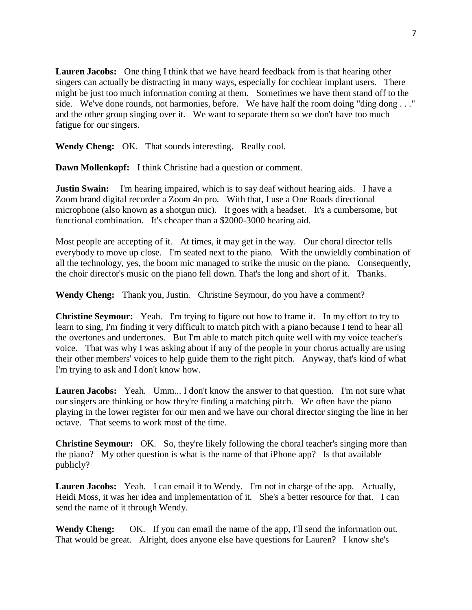**Lauren Jacobs:** One thing I think that we have heard feedback from is that hearing other singers can actually be distracting in many ways, especially for cochlear implant users. There might be just too much information coming at them. Sometimes we have them stand off to the side. We've done rounds, not harmonies, before. We have half the room doing "ding dong . . ." and the other group singing over it. We want to separate them so we don't have too much fatigue for our singers.

**Wendy Cheng:** OK. That sounds interesting. Really cool.

**Dawn Mollenkopf:** I think Christine had a question or comment.

**Justin Swain:** I'm hearing impaired, which is to say deaf without hearing aids. I have a Zoom brand digital recorder a Zoom 4n pro. With that, I use a One Roads directional microphone (also known as a shotgun mic). It goes with a headset. It's a cumbersome, but functional combination. It's cheaper than a \$2000-3000 hearing aid.

Most people are accepting of it. At times, it may get in the way. Our choral director tells everybody to move up close. I'm seated next to the piano. With the unwieldly combination of all the technology, yes, the boom mic managed to strike the music on the piano. Consequently, the choir director's music on the piano fell down. That's the long and short of it. Thanks.

**Wendy Cheng:** Thank you, Justin. Christine Seymour, do you have a comment?

**Christine Seymour:** Yeah. I'm trying to figure out how to frame it. In my effort to try to learn to sing, I'm finding it very difficult to match pitch with a piano because I tend to hear all the overtones and undertones. But I'm able to match pitch quite well with my voice teacher's voice. That was why I was asking about if any of the people in your chorus actually are using their other members' voices to help guide them to the right pitch. Anyway, that's kind of what I'm trying to ask and I don't know how.

**Lauren Jacobs:** Yeah. Umm... I don't know the answer to that question. I'm not sure what our singers are thinking or how they're finding a matching pitch. We often have the piano playing in the lower register for our men and we have our choral director singing the line in her octave. That seems to work most of the time.

**Christine Seymour:** OK. So, they're likely following the choral teacher's singing more than the piano? My other question is what is the name of that iPhone app? Is that available publicly?

**Lauren Jacobs:** Yeah. I can email it to Wendy. I'm not in charge of the app. Actually, Heidi Moss, it was her idea and implementation of it. She's a better resource for that. I can send the name of it through Wendy.

**Wendy Cheng:** OK. If you can email the name of the app, I'll send the information out. That would be great. Alright, does anyone else have questions for Lauren? I know she's